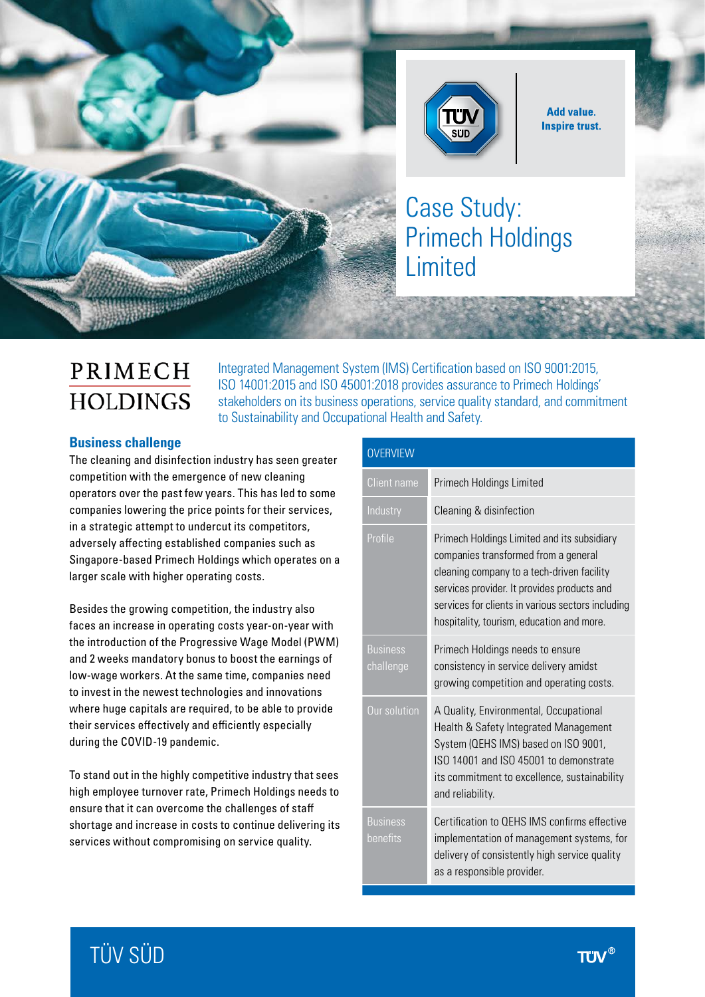

**Add value. Inspire trust.** 

Case Study: Primech Holdings Limited

# PRIMECH **HOLDINGS**

Integrated Management System (IMS) Certification based on ISO 9001:2015, ISO 14001:2015 and ISO 45001:2018 provides assurance to Primech Holdings' stakeholders on its business operations, service quality standard, and commitment to Sustainability and Occupational Health and Safety.

## **Business challenge**

The cleaning and disinfection industry has seen greater competition with the emergence of new cleaning operators over the past few years. This has led to some companies lowering the price points for their services, in a strategic attempt to undercut its competitors, adversely affecting established companies such as Singapore-based Primech Holdings which operates on a larger scale with higher operating costs.

**STATISTICS** 

Besides the growing competition, the industry also faces an increase in operating costs year-on-year with the introduction of the Progressive Wage Model (PWM) and 2 weeks mandatory bonus to boost the earnings of low-wage workers. At the same time, companies need to invest in the newest technologies and innovations where huge capitals are required, to be able to provide their services effectively and efficiently especially during the COVID-19 pandemic.

To stand out in the highly competitive industry that sees high employee turnover rate, Primech Holdings needs to ensure that it can overcome the challenges of staff shortage and increase in costs to continue delivering its services without compromising on service quality.

| <b>OVERVIEW</b>              |                                                                                                                                                                                                                                                                                    |
|------------------------------|------------------------------------------------------------------------------------------------------------------------------------------------------------------------------------------------------------------------------------------------------------------------------------|
| <b>Client name</b>           | <b>Primech Holdings Limited</b>                                                                                                                                                                                                                                                    |
| Industry                     | Cleaning & disinfection                                                                                                                                                                                                                                                            |
| Profile                      | Primech Holdings Limited and its subsidiary<br>companies transformed from a general<br>cleaning company to a tech-driven facility<br>services provider. It provides products and<br>services for clients in various sectors including<br>hospitality, tourism, education and more. |
| <b>Business</b><br>challenge | Primech Holdings needs to ensure<br>consistency in service delivery amidst<br>growing competition and operating costs.                                                                                                                                                             |
| Our solution                 | A Quality, Environmental, Occupational<br>Health & Safety Integrated Management<br>System (QEHS IMS) based on ISO 9001,<br>ISO 14001 and ISO 45001 to demonstrate<br>its commitment to excellence, sustainability<br>and reliability.                                              |
| <b>Business</b><br>benefits  | Certification to QEHS IMS confirms effective<br>implementation of management systems, for<br>delivery of consistently high service quality<br>as a responsible provider.                                                                                                           |